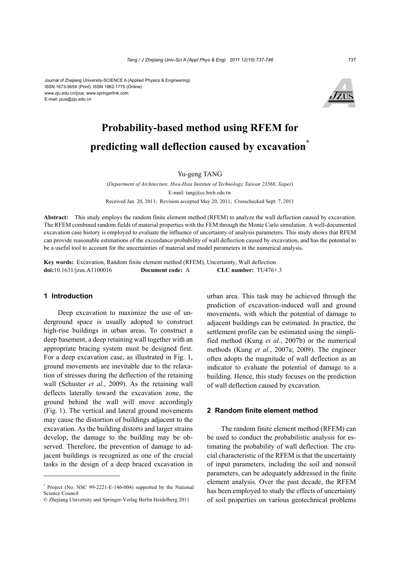#### Journal of Zhejiang University-SCIENCE A (Applied Physics & Engineering) ISSN 1673-565X (Print); ISSN 1862-1775 (Online) www.zju.edu.cn/jzus; www.springerlink.com E-mail: jzus@zju.edu.cn



# **Probability-based method using RFEM for predicting wall deflection caused by excavation\***

## Yu-geng TANG

(*Department of Architecture, Hwa-Hsia Institute of Technology, Taiwan 23568, Taipei*) E-mail: tang@cc.hwh.edu.tw Received Jan. 20, 2011; Revision accepted May 20, 2011; Crosschecked Sept. 7, 2011

**Abstract:** This study employs the random finite element method (RFEM) to analyze the wall deflection caused by excavation. The RFEM combined random fields of material properties with the FEM through the Monte Carlo simulation. A well-documented excavation case history is employed to evaluate the influence of uncertainty of analysis parameters. This study shows that RFEM can provide reasonable estimations of the exceedance probability of wall deflection caused by excavation, and has the potential to be a useful tool to account for the uncertainties of material and model parameters in the numerical analysis.

**Key words:** Excavation, Random finite element method (RFEM), Uncertainty, Wall deflection **doi:**10.1631/jzus.A1100016 **Document code:** A **CLC number:** TU476+.3

### **1 Introduction**

Deep excavation to maximize the use of underground space is usually adopted to construct high-rise buildings in urban areas. To construct a deep basement, a deep retaining wall together with an appropriate bracing system must be designed first. For a deep excavation case, as illustrated in Fig. 1, ground movements are inevitable due to the relaxation of stresses during the deflection of the retaining wall (Schuster *et al.*, 2009). As the retaining wall deflects laterally toward the excavation zone, the ground behind the wall will move accordingly (Fig. 1). The vertical and lateral ground movements may cause the distortion of buildings adjacent to the excavation. As the building distorts and larger strains develop, the damage to the building may be observed. Therefore, the prevention of damage to adjacent buildings is recognized as one of the crucial tasks in the design of a deep braced excavation in urban area. This task may be achieved through the prediction of excavation-induced wall and ground movements, with which the potential of damage to adjacent buildings can be estimated. In practice, the settlement profile can be estimated using the simplified method (Kung *et al.*, 2007b) or the numerical methods (Kung *et al.*, 2007a; 2009). The engineer often adopts the magnitude of wall deflection as an indicator to evaluate the potential of damage to a building. Hence, this study focuses on the prediction of wall deflection caused by excavation.

### **2 Random finite element method**

The random finite element method (RFEM) can be used to conduct the probabilistic analysis for estimating the probability of wall deflection. The crucial characteristic of the RFEM is that the uncertainty of input parameters, including the soil and nonsoil parameters, can be adequately addressed in the finite element analysis. Over the past decade, the RFEM has been employed to study the effects of uncertainty of soil properties on various geotechnical problems

<sup>\*</sup> Project (No. NSC 99-2221-E-146-004) supported by the National Science Council

<sup>©</sup> Zhejiang University and Springer-Verlag Berlin Heidelberg 2011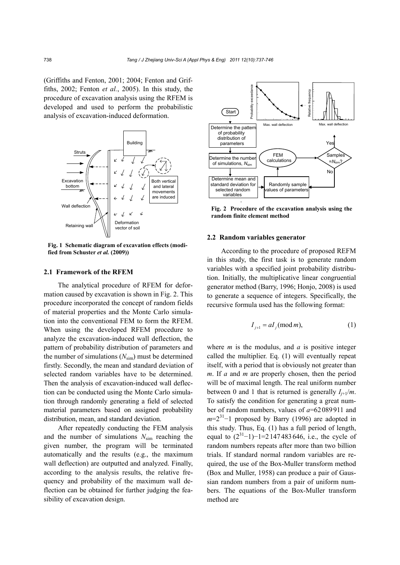(Griffiths and Fenton, 2001; 2004; Fenton and Griffiths, 2002; Fenton *et al.*, 2005). In this study, the procedure of excavation analysis using the RFEM is developed and used to perform the probabilistic analysis of excavation-induced deformation.



**Fig. 1 Schematic diagram of excavation effects (modified from Schuster** *et al.* **(2009))** 

## **2.1 Framework of the RFEM**

The analytical procedure of RFEM for deformation caused by excavation is shown in Fig. 2. This procedure incorporated the concept of random fields of material properties and the Monte Carlo simulation into the conventional FEM to form the RFEM. When using the developed RFEM procedure to analyze the excavation-induced wall deflection, the pattern of probability distribution of parameters and the number of simulations  $(N_{\text{sim}})$  must be determined firstly. Secondly, the mean and standard deviation of selected random variables have to be determined. Then the analysis of excavation-induced wall deflection can be conducted using the Monte Carlo simulation through randomly generating a field of selected material parameters based on assigned probability distribution, mean, and standard deviation.

After repeatedly conducting the FEM analysis and the number of simulations *N*sim reaching the given number, the program will be terminated automatically and the results (e.g., the maximum wall deflection) are outputted and analyzed. Finally, according to the analysis results, the relative frequency and probability of the maximum wall deflection can be obtained for further judging the feasibility of excavation design.



**Fig. 2 Procedure of the excavation analysis using the random finite element method** 

### **2.2 Random variables generator**

According to the procedure of proposed REFM in this study, the first task is to generate random variables with a specified joint probability distribution. Initially, the multiplicative linear congruential generator method (Barry, 1996; Honjo, 2008) is used to generate a sequence of integers. Specifically, the recursive formula used has the following format:

$$
I_{j+1} = aI_j \pmod{m},\tag{1}
$$

where *m* is the modulus, and *a* is positive integer called the multiplier. Eq. (1) will eventually repeat itself, with a period that is obviously not greater than *m*. If *a* and *m* are properly chosen, then the period will be of maximal length. The real uniform number between 0 and 1 that is returned is generally  $I_{i+1}/m$ . To satisfy the condition for generating a great number of random numbers, values of *a*=62089911 and *m*=2<sup>31</sup>−1 proposed by Barry (1996) are adopted in this study. Thus, Eq. (1) has a full period of length, equal to  $(2^{31}-1)-1=2147483646$ , i.e., the cycle of random numbers repeats after more than two billion trials. If standard normal random variables are required, the use of the Box-Muller transform method (Box and Muller, 1958) can produce a pair of Gaussian random numbers from a pair of uniform numbers. The equations of the Box-Muller transform method are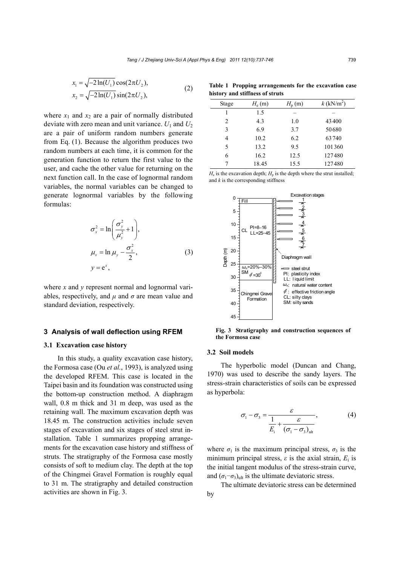$$
x_1 = \sqrt{-2\ln(U_1)} \cos(2\pi U_2),
$$
  
\n
$$
x_2 = \sqrt{-2\ln(U_1)} \sin(2\pi U_2),
$$
\n(2)

where  $x_1$  and  $x_2$  are a pair of normally distributed deviate with zero mean and unit variance.  $U_1$  and  $U_2$ are a pair of uniform random numbers generate from Eq. (1). Because the algorithm produces two random numbers at each time, it is common for the generation function to return the first value to the user, and cache the other value for returning on the next function call. In the case of lognormal random variables, the normal variables can be changed to generate lognormal variables by the following formulas:

$$
\sigma_x^2 = \ln\left(\frac{\sigma_y^2}{\mu_y^2} + 1\right),
$$
  
\n
$$
\mu_x = \ln \mu_y - \frac{\sigma_x^2}{2},
$$
  
\n
$$
y = e^x,
$$
\n(3)

where *x* and *y* represent normal and lognormal variables, respectively, and  $\mu$  and  $\sigma$  are mean value and standard deviation, respectively.

#### **3 Analysis of wall deflection using RFEM**

#### **3.1 Excavation case history**

In this study, a quality excavation case history, the Formosa case (Ou *et al.*, 1993), is analyzed using the developed RFEM. This case is located in the Taipei basin and its foundation was constructed using the bottom-up construction method. A diaphragm wall, 0.8 m thick and 31 m deep, was used as the retaining wall. The maximum excavation depth was 18.45 m. The construction activities include seven stages of excavation and six stages of steel strut installation. Table 1 summarizes propping arrangements for the excavation case history and stiffness of struts. The stratigraphy of the Formosa case mostly consists of soft to medium clay. The depth at the top of the Chingmei Gravel Formation is roughly equal to 31 m. The stratigraphy and detailed construction activities are shown in Fig. 3.

**Table 1 Propping arrangements for the excavation case history and stiffness of struts** 

| Stage          | $H_e(m)$ | $H_{\rm p}$ (m) | $k$ (kN/m <sup>2</sup> ) |  |
|----------------|----------|-----------------|--------------------------|--|
|                | 1.5      |                 |                          |  |
| $\overline{c}$ | 4.3      | 1.0             | 43400                    |  |
| 3              | 6.9      | 3.7             | 50680                    |  |
| 4              | 10.2     | 6.2             | 63740                    |  |
| 5              | 13.2     | 95              | 101360                   |  |
| 6              | 16.2     | 12.5            | 127480                   |  |
| 7              | 18.45    | 15.5            | 127480                   |  |
|                |          |                 |                          |  |

 $H<sub>e</sub>$  is the excavation depth;  $H<sub>p</sub>$  is the depth where the strut installed; and *k* is the corresponding stiffness



**Fig. 3 Stratigraphy and construction sequences of the Formosa case** 

#### **3.2 Soil models**

The hyperbolic model (Duncan and Chang, 1970) was used to describe the sandy layers. The stress-strain characteristics of soils can be expressed as hyperbola:

$$
\sigma_1 - \sigma_3 = \frac{\varepsilon}{\frac{1}{E_i} + \frac{\varepsilon}{(\sigma_1 - \sigma_3)_{\text{ult}}}},
$$
\n(4)

where  $\sigma_1$  is the maximum principal stress,  $\sigma_3$  is the minimum principal stress, *ε* is the axial strain, *E*i is the initial tangent modulus of the stress-strain curve, and  $(\sigma_1 - \sigma_3)$ <sub>ult</sub> is the ultimate deviatoric stress.

The ultimate deviatoric stress can be determined by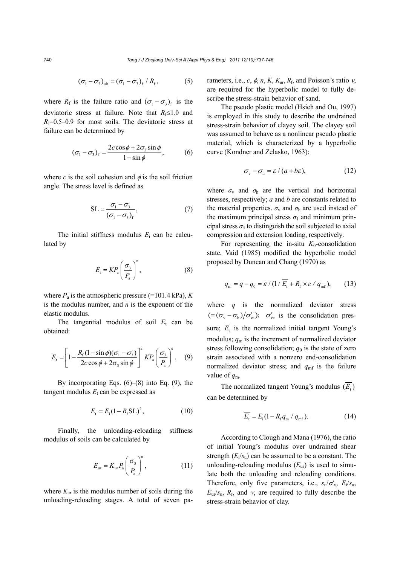$$
(\sigma_1 - \sigma_3)_{\text{ult}} = (\sigma_1 - \sigma_3)_{\text{f}} / R_{\text{f}}, \qquad (5)
$$

where  $R_f$  is the failure ratio and  $({\sigma_1} - {\sigma_2})_f$  is the deviatoric stress at failure. Note that  $R_f \leq 1.0$  and  $R_f$ =0.5–0.9 for most soils. The deviatoric stress at failure can be determined by

$$
(\sigma_1 - \sigma_3)_f = \frac{2c\cos\phi + 2\sigma_3\sin\phi}{1 - \sin\phi},
$$
 (6)

where *c* is the soil cohesion and  $\phi$  is the soil friction angle. The stress level is defined as

$$
SL = \frac{\sigma_1 - \sigma_3}{(\sigma_1 - \sigma_3)_f},
$$
\n(7)

The initial stiffness modulus  $E_i$  can be calculated by

$$
E_{\rm i} = KP_{\rm a} \left(\frac{\sigma_{\rm 3}}{P_{\rm a}}\right)^n, \tag{8}
$$

where  $P_a$  is the atmospheric pressure (=101.4 kPa),  $K$ is the modulus number, and *n* is the exponent of the elastic modulus.

The tangential modulus of soil  $E_t$  can be obtained:

$$
E_{\rm t} = \left[1 - \frac{R_{\rm f}(1-\sin\phi)(\sigma_{\rm l} - \sigma_{\rm 3})}{2c\cos\phi + 2\sigma_{\rm 3}\sin\phi}\right]^2 K P_{\rm a} \left(\frac{\sigma_{\rm 3}}{P_{\rm a}}\right)^n. \tag{9}
$$

By incorporating Eqs.  $(6)$ – $(8)$  into Eq.  $(9)$ , the tangent modulus  $E_t$  can be expressed as

$$
E_{t} = E_{i} (1 - R_{f} S L)^{2}, \qquad (10)
$$

Finally, the unloading-reloading stiffness modulus of soils can be calculated by

$$
E_{\rm ur} = K_{\rm ur} P_{\rm a} \left( \frac{\sigma_{\rm s}}{P_{\rm a}} \right)^n, \tag{11}
$$

where  $K_{ur}$  is the modulus number of soils during the unloading-reloading stages. A total of seven parameters, i.e.,  $c$ ,  $\phi$ ,  $n$ ,  $K$ ,  $K_{\text{ur}}$ ,  $R_{\text{f}}$ , and Poisson's ratio  $\nu$ , are required for the hyperbolic model to fully describe the stress-strain behavior of sand.

The pseudo plastic model (Hsieh and Ou, 1997) is employed in this study to describe the undrained stress-strain behavior of clayey soil. The clayey soil was assumed to behave as a nonlinear pseudo plastic material, which is characterized by a hyperbolic curve (Kondner and Zelasko, 1963):

$$
\sigma_{\rm v} - \sigma_{\rm h} = \varepsilon / (a + b\varepsilon), \qquad (12)
$$

where  $\sigma_{\rm v}$  and  $\sigma_{\rm h}$  are the vertical and horizontal stresses, respectively; *a* and *b* are constants related to the material properties.  $\sigma_{v}$  and  $\sigma_{h}$  are used instead of the maximum principal stress  $\sigma_1$  and minimum principal stress  $\sigma_3$  to distinguish the soil subjected to axial compression and extension loading, respectively.

For representing the in-situ  $K_0$ -consolidation state, Vaid (1985) modified the hyperbolic model proposed by Duncan and Chang (1970) as

$$
q_{\rm m} = q - q_0 = \varepsilon / (1 / \overline{E_i} + R_{\rm f} \times \varepsilon / q_{\rm m}^2), \qquad (13)
$$

where *q* is the normalized deviator stress  $\varepsilon = (\sigma_{\rm v} - \sigma_{\rm h})/\sigma_{\rm ve}'$ ;  $\sigma_{\rm ve}'$  is the consolidation pressure;  $\overline{E_i}$  is the normalized initial tangent Young's modulus;  $q_m$  is the increment of normalized deviator stress following consolidation;  $q_0$  is the state of zero strain associated with a nonzero end-consolidation normalized deviator stress; and  $q<sub>mf</sub>$  is the failure value of *q*m.

The normalized tangent Young's modulus  $(E)$ can be determined by

$$
\overline{E_{\rm t}} = E_{\rm i} (1 - R_{\rm f} q_{\rm m} / q_{\rm mf}). \tag{14}
$$

According to Clough and Mana (1976), the ratio of initial Young's modulus over undrained shear strength  $(E_i/s_i)$  can be assumed to be a constant. The unloading-reloading modulus  $(E_{\rm ur})$  is used to simulate both the unloading and reloading conditions. Therefore, only five parameters, i.e.,  $s_u/\sigma_v$ ,  $E_i/s_u$ ,  $E_{\rm ur}/s_{\rm u}$ ,  $R_{\rm f}$ , and  $\nu$ , are required to fully describe the stress-strain behavior of clay.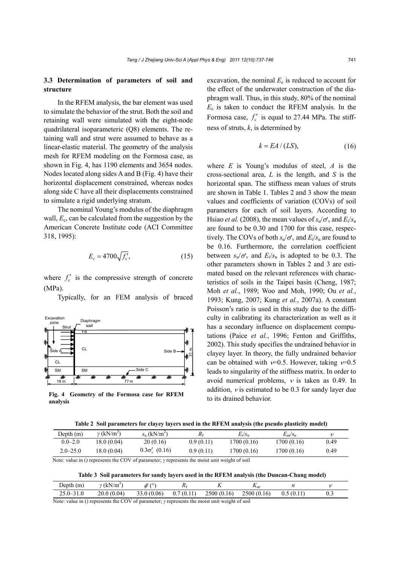## **3.3 Determination of parameters of soil and structure**

In the RFEM analysis, the bar element was used to simulate the behavior of the strut. Both the soil and retaining wall were simulated with the eight-node quadrilateral isoparameteric (Q8) elements. The retaining wall and strut were assumed to behave as a linear-elastic material. The geometry of the analysis mesh for RFEM modeling on the Formosa case, as shown in Fig. 4, has 1190 elements and 3654 nodes. Nodes located along sides A and B (Fig. 4) have their horizontal displacement constrained, whereas nodes along side C have all their displacements constrained to simulate a rigid underlying stratum.

The nominal Young's modulus of the diaphragm wall,  $E_c$ , can be calculated from the suggestion by the American Concrete Institute code (ACI Committee 318, 1995):

$$
E_{\rm c} = 4700 \sqrt{f_{\rm c}'},\tag{15}
$$

where  $f'_c$  is the compressive strength of concrete (MPa).

Typically, for an FEM analysis of braced



**Fig. 4 Geometry of the Formosa case for RFEM analysis** 

excavation, the nominal  $E_c$  is reduced to account for the effect of the underwater construction of the diaphragm wall. Thus, in this study, 80% of the nominal  $E_c$  is taken to conduct the RFEM analysis. In the Formosa case,  $f_c'$  is equal to 27.44 MPa. The stiffness of struts, *k*, is determined by

$$
k = EA / (LS),\tag{16}
$$

where *E* is Young's modulus of steel, *A* is the cross-sectional area, *L* is the length, and *S* is the horizontal span. The stiffness mean values of struts are shown in Table 1. Tables 2 and 3 show the mean values and coefficients of variation (COVs) of soil parameters for each of soil layers. According to Hsiao *et al.* (2008), the mean values of  $s_u/\sigma_v$  and  $E_i/s_u$ are found to be 0.30 and 1700 for this case, respectively. The COVs of both  $s_u/\sigma_v$  and  $E_i/s_u$  are found to be 0.16. Furthermore, the correlation coefficient between  $s_v/\sigma_v$  and  $E_i/s_u$  is adopted to be 0.3. The other parameters shown in Tables 2 and 3 are estimated based on the relevant references with characteristics of soils in the Taipei basin (Cheng, 1987; Moh *et al.*, 1989; Woo and Moh, 1990; Ou *et al.*, 1993; Kung, 2007; Kung *et al.*, 2007a). A constant Poisson's ratio is used in this study due to the difficulty in calibrating its characterization as well as it has a secondary influence on displacement computations (Paice *et al.*, 1996; Fenton and Griffiths, 2002). This study specifies the undrained behavior in clayey layer. In theory, the fully undrained behavior can be obtained with  $v=0.5$ . However, taking  $v=0.5$ leads to singularity of the stiffness matrix. In order to avoid numerical problems,  $\nu$  is taken as 0.49. In addition,  $\nu$  is estimated to be 0.3 for sandy layer due to its drained behavior.

| Depth $(m)$  | $\nu$ (kN/m <sup>3</sup> )                | $S_{\rm u}$ (kN/m <sup>2</sup> ) |           | $E_i/s_{ii}$ | $E_{\rm nr}/s_{\rm n}$ |      |
|--------------|-------------------------------------------|----------------------------------|-----------|--------------|------------------------|------|
| $0.0 - 2.0$  | 18.0 (0.04)                               | 20(0.16)                         | 0.9(0.11) | 1700 (0.16)  | 1700 (0.16)            | 0.49 |
| $2.0 - 25.0$ | (8.0 (0.04)                               | $0.3\sigma'_{v}$ (0.16)          | 0.9(0.11) | 1700 (0.16)  | 1700 (0.16)            | 0.49 |
| .            | $\sim$ $\sim$ $\sim$ $\sim$ $\sim$ $\sim$ |                                  |           |              |                        |      |

Note: value in () represents the COV of parameter; *γ* represents the moist unit weight of soil

|  | Table 3 Soil parameters for sandy layers used in the RFEM analysis (the Duncan-Chang model) |  |  |  |  |  |
|--|---------------------------------------------------------------------------------------------|--|--|--|--|--|
|  |                                                                                             |  |  |  |  |  |

| $\rho$ epth $(m)$                         | $\gamma$ (kN/m <sup>3</sup> | $\phi'$ (° |           | ▴          | $I_{\text{L}}$ ur |           |     |
|-------------------------------------------|-----------------------------|------------|-----------|------------|-------------------|-----------|-----|
| $25.0 - 31.0$                             | 20.0(0.04)                  | 33.0(0.06) | 0.7(0.11) | 2500(0.16) | 2500(0.16)        | 0.5(0.11) | 0.3 |
| $\sim$ $\sim$ $\sim$ $\sim$ $\sim$ $\sim$ | .                           |            |           |            |                   |           |     |

Note: value in () represents the COV of parameter; *γ* represents the moist unit weight of soil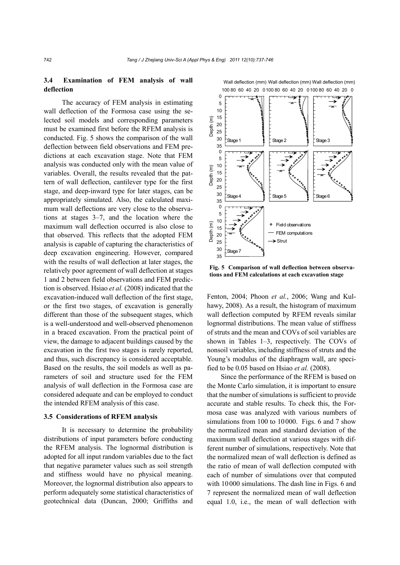## **3.4 Examination of FEM analysis of wall deflection**

The accuracy of FEM analysis in estimating wall deflection of the Formosa case using the selected soil models and corresponding parameters must be examined first before the RFEM analysis is conducted. Fig. 5 shows the comparison of the wall deflection between field observations and FEM predictions at each excavation stage. Note that FEM analysis was conducted only with the mean value of variables. Overall, the results revealed that the pattern of wall deflection, cantilever type for the first stage, and deep-inward type for later stages, can be appropriately simulated. Also, the calculated maximum wall deflections are very close to the observations at stages 3–7, and the location where the maximum wall deflection occurred is also close to that observed. This reflects that the adopted FEM analysis is capable of capturing the characteristics of deep excavation engineering. However, compared with the results of wall deflection at later stages, the relatively poor agreement of wall deflection at stages 1 and 2 between field observations and FEM prediction is observed. Hsiao *et al.* (2008) indicated that the excavation-induced wall deflection of the first stage, or the first two stages, of excavation is generally different than those of the subsequent stages, which is a well-understood and well-observed phenomenon in a braced excavation. From the practical point of view, the damage to adjacent buildings caused by the excavation in the first two stages is rarely reported, and thus, such discrepancy is considered acceptable. Based on the results, the soil models as well as parameters of soil and structure used for the FEM analysis of wall deflection in the Formosa case are considered adequate and can be employed to conduct the intended RFEM analysis of this case.

## **3.5 Considerations of RFEM analysis**

It is necessary to determine the probability distributions of input parameters before conducting the RFEM analysis. The lognormal distribution is adopted for all input random variables due to the fact that negative parameter values such as soil strength and stiffness would have no physical meaning. Moreover, the lognormal distribution also appears to perform adequately some statistical characteristics of geotechnical data (Duncan, 2000; Griffiths and



**Fig. 5 Comparison of wall deflection between observa-**

Fenton, 2004; Phoon *et al.*, 2006; Wang and Kulhawy, 2008). As a result, the histogram of maximum wall deflection computed by RFEM reveals similar lognormal distributions. The mean value of stiffness of struts and the mean and COVs of soil variables are shown in Tables 1–3, respectively. The COVs of nonsoil variables, including stiffness of struts and the Young's modulus of the diaphragm wall, are specified to be 0.05 based on Hsiao *et al.* (2008).

Since the performance of the RFEM is based on the Monte Carlo simulation, it is important to ensure that the number of simulations is sufficient to provide accurate and stable results. To check this, the Formosa case was analyzed with various numbers of simulations from 100 to 10000. Figs. 6 and 7 show the normalized mean and standard deviation of the maximum wall deflection at various stages with different number of simulations, respectively. Note that the normalized mean of wall deflection is defined as the ratio of mean of wall deflection computed with each of number of simulations over that computed with 10000 simulations. The dash line in Figs. 6 and 7 represent the normalized mean of wall deflection equal 1.0, i.e., the mean of wall deflection with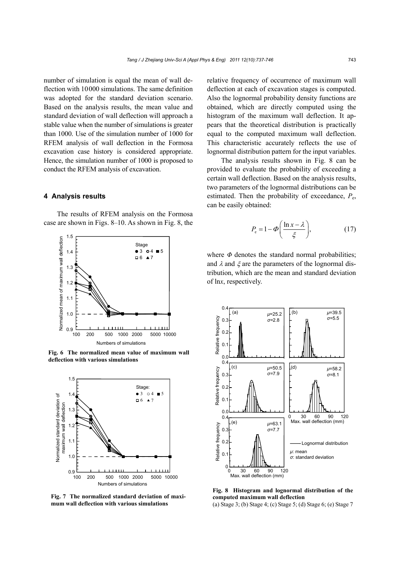number of simulation is equal the mean of wall deflection with 10000 simulations. The same definition was adopted for the standard deviation scenario. Based on the analysis results, the mean value and standard deviation of wall deflection will approach a stable value when the number of simulations is greater than 1000. Use of the simulation number of 1000 for RFEM analysis of wall deflection in the Formosa excavation case history is considered appropriate. Hence, the simulation number of 1000 is proposed to conduct the RFEM analysis of excavation.

## **4 Analysis results**

The results of RFEM analysis on the Formosa case are shown in Figs. 8–10. As shown in Fig. 8, the



**Fig. 6 The normalized mean value of maximum wall deflection with various simulations** 



**Fig. 7 The normalized standard deviation of maximum wall deflection with various simulations** 

relative frequency of occurrence of maximum wall deflection at each of excavation stages is computed. Also the lognormal probability density functions are obtained, which are directly computed using the histogram of the maximum wall deflection. It appears that the theoretical distribution is practically equal to the computed maximum wall deflection. This characteristic accurately reflects the use of lognormal distribution pattern for the input variables.

The analysis results shown in Fig. 8 can be provided to evaluate the probability of exceeding a certain wall deflection. Based on the analysis results, two parameters of the lognormal distributions can be estimated. Then the probability of exceedance,  $P_{\rm e}$ , can be easily obtained:

$$
P_{\rm e} = 1 - \Phi\bigg(\frac{\ln x - \lambda}{\xi}\bigg),\tag{17}
$$

where  $\Phi$  denotes the standard normal probabilities; and  $\lambda$  and  $\xi$  are the parameters of the lognormal distribution, which are the mean and standard deviation of ln*x*, respectively.



**Fig. 8 Histogram and lognormal distribution of the computed maximum wall deflection**  (a) Stage 3; (b) Stage 4; (c) Stage 5; (d) Stage 6; (e) Stage 7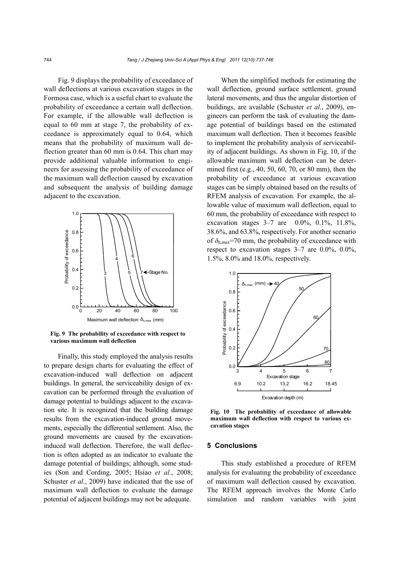Fig. 9 displays the probability of exceedance of wall deflections at various excavation stages in the Formosa case, which is a useful chart to evaluate the probability of exceedance a certain wall deflection. For example, if the allowable wall deflection is equal to 60 mm at stage 7, the probability of exceedance is approximately equal to 0.64, which means that the probability of maximum wall deflection greater than 60 mm is 0.64. This chart may provide additional valuable information to engineers for assessing the probability of exceedance of the maximum wall deflection caused by excavation and subsequent the analysis of building damage adjacent to the excavation.



**Fig. 9 The probability of exceedance with respect to various maximum wall deflection** 

Finally, this study employed the analysis results to prepare design charts for evaluating the effect of excavation-induced wall deflection on adjacent buildings. In general, the serviceability design of excavation can be performed through the evaluation of damage potential to buildings adjacent to the excavation site. It is recognized that the building damage results from the excavation-induced ground movements, especially the differential settlement. Also, the ground movements are caused by the excavationinduced wall deflection. Therefore, the wall deflection is often adopted as an indicator to evaluate the damage potential of buildings; although, some studies (Son and Cording, 2005; Hsiao *et al.*, 2008; Schuster *et al.*, 2009) have indicated that the use of maximum wall deflection to evaluate the damage potential of adjacent buildings may not be adequate.

When the simplified methods for estimating the wall deflection, ground surface settlement, ground lateral movements, and thus the angular distortion of buildings, are available (Schuster *et al.*, 2009), engineers can perform the task of evaluating the damage potential of buildings based on the estimated maximum wall deflection. Then it becomes feasible to implement the probability analysis of serviceability of adjacent buildings. As shown in Fig. 10, if the allowable maximum wall deflection can be determined first (e.g., 40, 50, 60, 70, or 80 mm), then the probability of exceedance at various excavation stages can be simply obtained based on the results of RFEM analysis of excavation. For example, the allowable value of maximum wall deflection, equal to 60 mm, the probability of exceedance with respect to excavation stages 3–7 are 0.0%, 0.1%, 11.8%, 38.6%, and 63.8%, respectively. For another scenario of  $\delta_{h, \text{max}}$ =70 mm, the probability of exceedance with respect to excavation stages 3–7 are 0.0%, 0.0%, 1.5%, 8.0% and 18.0%, respectively.



**Fig. 10 The probability of exceedance of allowable maximum wall deflection with respect to various excavation stages** 

#### **5 Conclusions**

This study established a procedure of RFEM analysis for evaluating the probability of exceedance of maximum wall deflection caused by excavation. The RFEM approach involves the Monte Carlo simulation and random variables with joint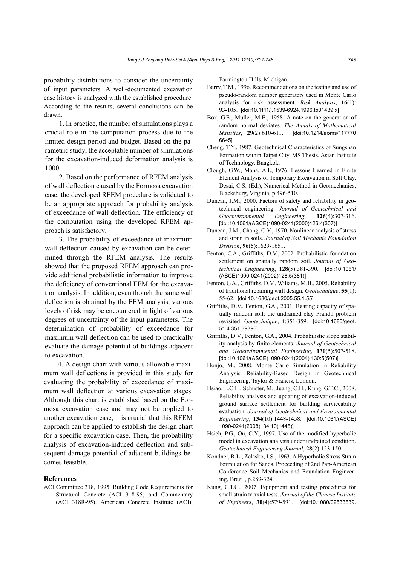probability distributions to consider the uncertainty of input parameters. A well-documented excavation case history is analyzed with the established procedure. According to the results, several conclusions can be drawn.

1. In practice, the number of simulations plays a crucial role in the computation process due to the limited design period and budget. Based on the parametric study, the acceptable number of simulations for the excavation-induced deformation analysis is 1000.

2. Based on the performance of RFEM analysis of wall deflection caused by the Formosa excavation case, the developed RFEM procedure is validated to be an appropriate approach for probability analysis of exceedance of wall deflection. The efficiency of the computation using the developed RFEM approach is satisfactory.

3. The probability of exceedance of maximum wall deflection caused by excavation can be determined through the RFEM analysis. The results showed that the proposed RFEM approach can provide additional probabilistic information to improve the deficiency of conventional FEM for the excavation analysis. In addition, even though the same wall deflection is obtained by the FEM analysis, various levels of risk may be encountered in light of various degrees of uncertainty of the input parameters. The determination of probability of exceedance for maximum wall deflection can be used to practically evaluate the damage potential of buildings adjacent to excavation.

4. A design chart with various allowable maximum wall deflections is provided in this study for evaluating the probability of exceedance of maximum wall deflection at various excavation stages. Although this chart is established based on the Formosa excavation case and may not be applied to another excavation case, it is crucial that this RFEM approach can be applied to establish the design chart for a specific excavation case. Then, the probability analysis of excavation-induced deflection and subsequent damage potential of adjacent buildings becomes feasible.

#### **References**

ACI Committee 318, 1995. Building Code Requirements for Structural Concrete (ACI 318-95) and Commentary (ACI 318R-95). American Concrete Institute (ACI), Farmington Hills, Michigan.

- Barry, T.M., 1996. Recommendations on the testing and use of pseudo-random number generators used in Monte Carlo analysis for risk assessment. *Risk Analysis*, **16**(1): 93-105. [doi:10.1111/j.1539-6924.1996.tb01439.x]
- Box, G.E., Muller, M.E., 1958. A note on the generation of random normal deviates. *The Annals of Mathematical Statistics*, **29**(2):610-611. [doi:10.1214/aoms/117770 6645]
- Cheng, T.Y., 1987. Geotechnical Characteristics of Sungshan Formation within Taipei City. MS Thesis, Asian Institute of Technology, Bnagkok.
- Clough, G.W., Mana, A.I., 1976. Lessons Learned in Finite Element Analysis of Temporary Excavation in Soft Clay. Desai, C.S. (Ed.), Numerical Method in Geomechanics, Blacksburg, Virginia, p.496-510.
- Duncan, J.M., 2000. Factors of safety and reliability in geotechnical engineering. *Journal of Geotechnical and Geoenvironmental Engineering*, **126**(4):307-316. [doi:10.1061/(ASCE)1090-0241(2000)126:4(307)]
- Duncan, J.M., Chang, C.Y., 1970. Nonlinear analysis of stress and strain in soils. *Journal of Soil Mechanic Foundation Division*, **96**(5):1629-1651.
- Fenton, G.A., Griffiths, D.V., 2002. Probabilistic foundation settlement on spatially random soil. *Journal of Geotechnical Engineering*, **128**(5):381-390. [doi:10.1061/ (ASCE)1090-0241(2002)128:5(381)]
- Fenton, G.A., Griffiths, D.V., Wiliams, M.B., 2005. Reliability of traditional retaining wall design. *Geotechnique*, **55**(1): 55-62. [doi:10.1680/geot.2005.55.1.55]
- Griffiths, D.V., Fenton, G.A., 2001. Bearing capacity of spatially random soil: the undrained clay Prandtl problem revisited. *Geotechnique*, **4**:351-359. [doi:10.1680/geot. 51.4.351.39396]
- Griffiths, D.V., Fenton, G.A., 2004. Probabilistic slope stability analysis by finite elements. *Journal of Geotechnical and Geoenvironmental Engineering*, **130**(5):507-518. [doi:10.1061/(ASCE)1090-0241(2004) 130:5(507)]
- Honjo, M., 2008. Monte Carlo Simulation in Reliability Analysis. Reliability-Based Design in Geotechnical Engineering, Taylor & Francis, London.
- Hsiao, E.C.L., Schuster, M., Juang, C.H., Kung, G.T.C., 2008. Reliability analysis and updating of excavation-induced ground surface settlement for building serviceability evaluation. *Journal of Geotechnical and Environmental Engineering*, **134**(10):1448-1458. [doi:10.1061/(ASCE) 1090-0241(2008)134:10(1448)]
- Hsieh, P.G., Ou, C.Y., 1997. Use of the modified hyperbolic model in excavation analysis under undrained condition. *Geotechnical Engineering Journal*, **28**(2):123-150.
- Kondner, R.L., Zelasko, J.S., 1963. A Hyperbolic Stress Strain Formulation for Sands. Proceeding of 2nd Pan-American Conference Soil Mechanics and Foundation Engineering, Brazil, p.289-324.
- Kung, G.T.C., 2007. Equipment and testing procedures for small strain triaxial tests. *Journal of the Chinese Institute of Engineers*, **30**(4):579-591. [doi:10.1080/02533839.